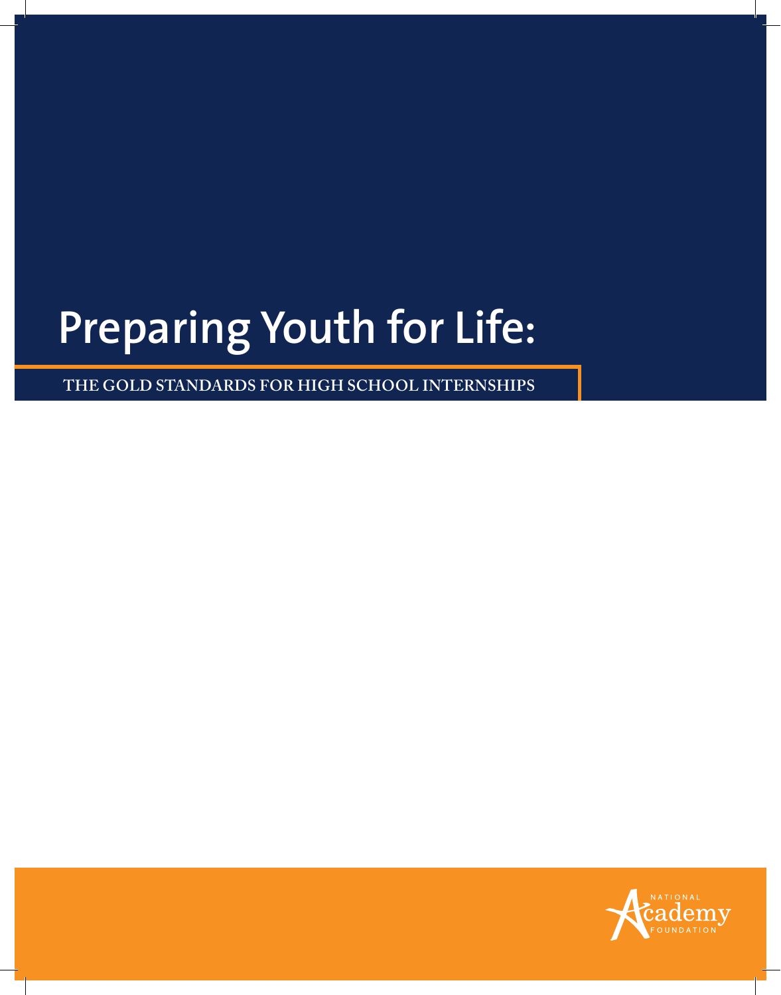# **Preparing Youth for Life:**

**The Gold Standards for High School Internships**

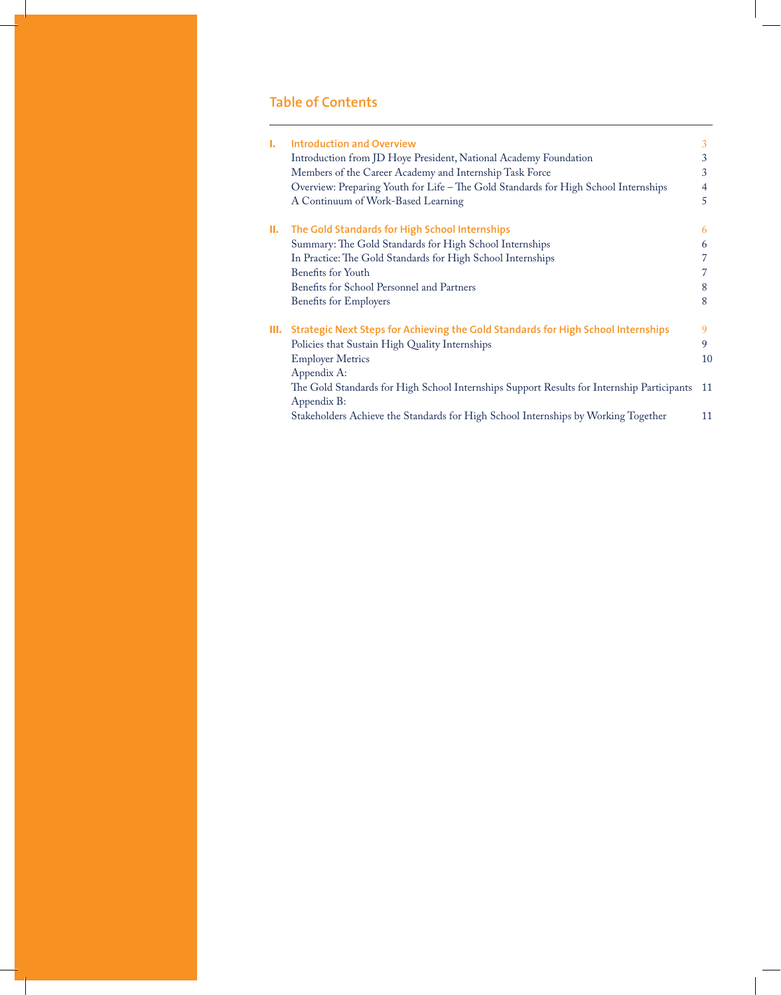# **Table of Contents**

| Ъ.   | <b>Introduction and Overview</b>                                                           | 3  |
|------|--------------------------------------------------------------------------------------------|----|
|      | Introduction from JD Hoye President, National Academy Foundation                           | 3  |
|      | Members of the Career Academy and Internship Task Force                                    | 3  |
|      | Overview: Preparing Youth for Life – The Gold Standards for High School Internships        | 4  |
|      | A Continuum of Work-Based Learning                                                         | 5  |
| Ш.   | The Gold Standards for High School Internships                                             | 6  |
|      | Summary: The Gold Standards for High School Internships                                    | 6  |
|      | In Practice: The Gold Standards for High School Internships                                |    |
|      | Benefits for Youth                                                                         |    |
|      | Benefits for School Personnel and Partners                                                 | 8  |
|      | <b>Benefits for Employers</b>                                                              | 8  |
| III. | Strategic Next Steps for Achieving the Gold Standards for High School Internships          | 9  |
|      | Policies that Sustain High Quality Internships                                             | 9  |
|      | <b>Employer Metrics</b>                                                                    | 10 |
|      | Appendix A:                                                                                |    |
|      | The Gold Standards for High School Internships Support Results for Internship Participants | 11 |
|      | Appendix B:                                                                                |    |
|      | Stakeholders Achieve the Standards for High School Internships by Working Together         | 11 |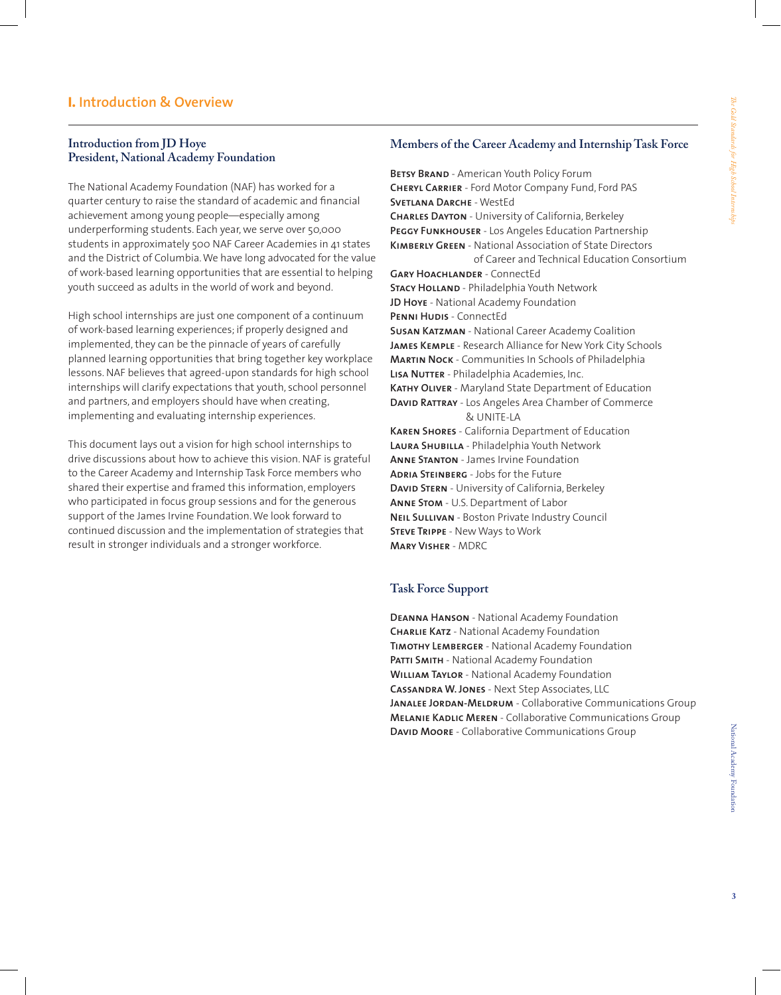# **I. Introduction & Overview**

# **Introduction from JD Hoye President, National Academy Foundation**

The National Academy Foundation (NAF) has worked for a quarter century to raise the standard of academic and financial achievement among young people—especially among underperforming students. Each year, we serve over 50,000 students in approximately 500 NAF Career Academies in 41 states and the District of Columbia.We have long advocated for the value of work-based learning opportunities that are essential to helping youth succeed as adults in the world of work and beyond.

High school internships are just one component of a continuum of work-based learning experiences; if properly designed and implemented, they can be the pinnacle of years of carefully planned learning opportunities that bring together key workplace lessons. NAF believes that agreed-upon standards for high school internships will clarify expectations that youth, school personnel and partners, and employers should have when creating, implementing and evaluating internship experiences.

This document lays out a vision for high school internships to drive discussions about how to achieve this vision. NAF is grateful to the Career Academy and Internship Task Force members who shared their expertise and framed this information, employers who participated in focus group sessions and for the generous support of the James Irvine Foundation.We look forward to continued discussion and the implementation of strategies that result in stronger individuals and a stronger workforce.

# **Members of the Career Academy and Internship Task Force**

**BETSY BRAND** - American Youth Policy Forum **Cheryl Carrier** - Ford Motor Company Fund, Ford PAS **Svetlana Darche** - WestEd **Charles Dayton** - University of California, Berkeley **Peggy Funkhouser** - Los Angeles Education Partnership **Kimberly Green** - National Association of State Directors of Career and Technical Education Consortium **Gary Hoachlander** - ConnectEd **Stacy Holland** - Philadelphia Youth Network **JD Hoye** - National Academy Foundation PENNI HUDIS - ConnectEd **Susan Katzman** - National Career Academy Coalition **James Kemple** - Research Alliance for New York City Schools **Martin Nock** - Communities In Schools of Philadelphia **LISA NUTTER** - Philadelphia Academies, Inc. **Kathy Oliver** - Maryland State Department of Education **David Rattray** - Los Angeles Area Chamber of Commerce & UNITE-LA **Karen Shores** - California Department of Education **Laura Shubilla** - Philadelphia Youth Network **Anne Stanton** - James Irvine Foundation **Adria Steinberg** - Jobs for the Future **David Stern** - University of California, Berkeley **Anne Stom** - U.S. Department of Labor **Neil Sullivan** - Boston Private Industry Council **Steve Trippe** - New Ways to Work **Mary Visher** - MDRC

# **Task Force Support**

**Deanna Hanson** - National Academy Foundation **Charlie Katz** - National Academy Foundation **Timothy Lemberger** - National Academy Foundation PATTI SMITH - National Academy Foundation **William Taylor** - National Academy Foundation **Cassandra W. Jones** - Next Step Associates, LLC JANALEE JORDAN-MELDRUM - Collaborative Communications Group **Melanie Kadlic Meren** - Collaborative Communications Group **David Moore** - Collaborative Communications Group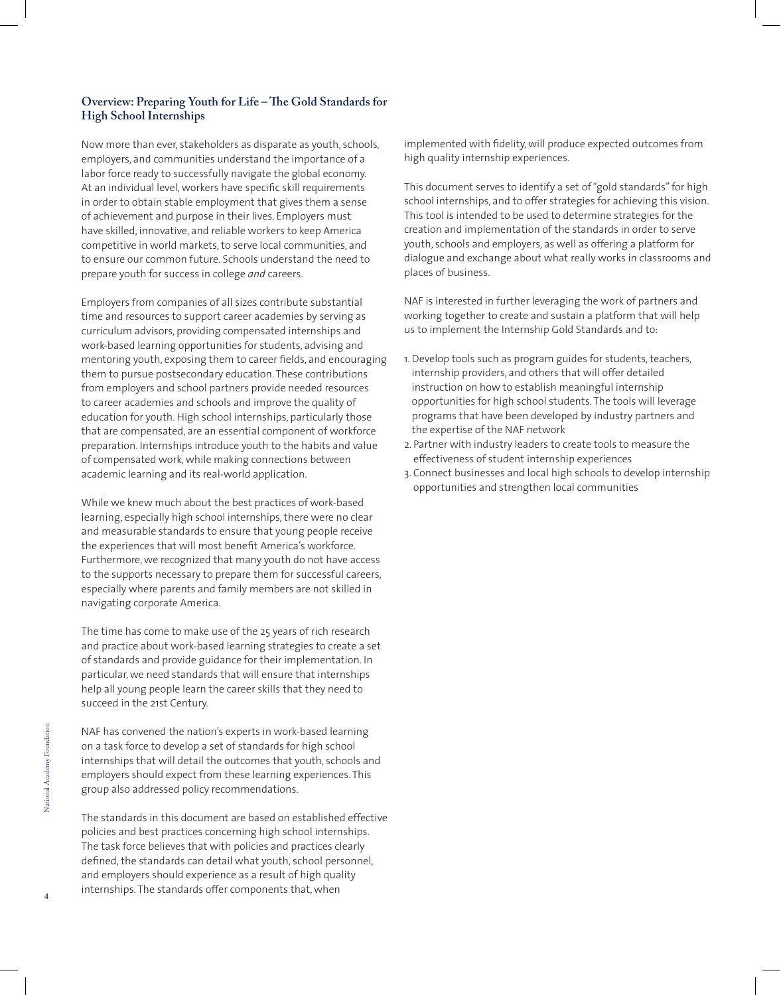# **Overview: Preparing Youth for Life – The Gold Standards for High School Internships**

Now more than ever, stakeholders as disparate as youth, schools, employers, and communities understand the importance of a labor force ready to successfully navigate the global economy. At an individual level, workers have specific skill requirements in order to obtain stable employment that gives them a sense of achievement and purpose in their lives. Employers must have skilled, innovative, and reliable workers to keep America competitive in world markets, to serve local communities, and to ensure our common future. Schools understand the need to prepare youth for success in college *and* careers.

Employers from companies of all sizes contribute substantial time and resources to support career academies by serving as curriculum advisors, providing compensated internships and work-based learning opportunities for students, advising and mentoring youth, exposing them to career fields, and encouraging them to pursue postsecondary education. These contributions from employers and school partners provide needed resources to career academies and schools and improve the quality of education for youth. High school internships, particularly those that are compensated, are an essential component of workforce preparation. Internships introduce youth to the habits and value of compensated work, while making connections between academic learning and its real-world application.

While we knew much about the best practices of work-based learning, especially high school internships, there were no clear and measurable standards to ensure that young people receive the experiences that will most benefit America's workforce. Furthermore, we recognized that many youth do not have access to the supports necessary to prepare them for successful careers, especially where parents and family members are not skilled in navigating corporate America.

The time has come to make use of the 25 years of rich research and practice about work-based learning strategies to create a set of standards and provide guidance for their implementation. In particular, we need standards that will ensure that internships help all young people learn the career skills that they need to succeed in the 21st Century.

NAF has convened the nation's experts in work-based learning on a task force to develop a set of standards for high school internships that will detail the outcomes that youth, schools and employers should expect from these learning experiences. This group also addressed policy recommendations.

The standards in this document are based on established effective policies and best practices concerning high school internships. The task force believes that with policies and practices clearly defined, the standards can detail what youth, school personnel, and employers should experience as a result of high quality internships. The standards offer components that, when

implemented with fidelity, will produce expected outcomes from high quality internship experiences.

This document serves to identify a set of "gold standards" for high school internships, and to offer strategies for achieving this vision. This tool is intended to be used to determine strategies for the creation and implementation of the standards in order to serve youth, schools and employers, as well as offering a platform for dialogue and exchange about what really works in classrooms and places of business.

NAF is interested in further leveraging the work of partners and working together to create and sustain a platform that will help us to implement the Internship Gold Standards and to:

- 1. Develop tools such as program guides for students, teachers, internship providers, and others that will offer detailed instruction on how to establish meaningful internship opportunities for high school students. The tools will leverage programs that have been developed by industry partners and the expertise of the NAF network
- 2. Partner with industry leaders to create tools to measure the effectiveness of student internship experiences
- 3. Connect businesses and local high schools to develop internship opportunities and strengthen local communities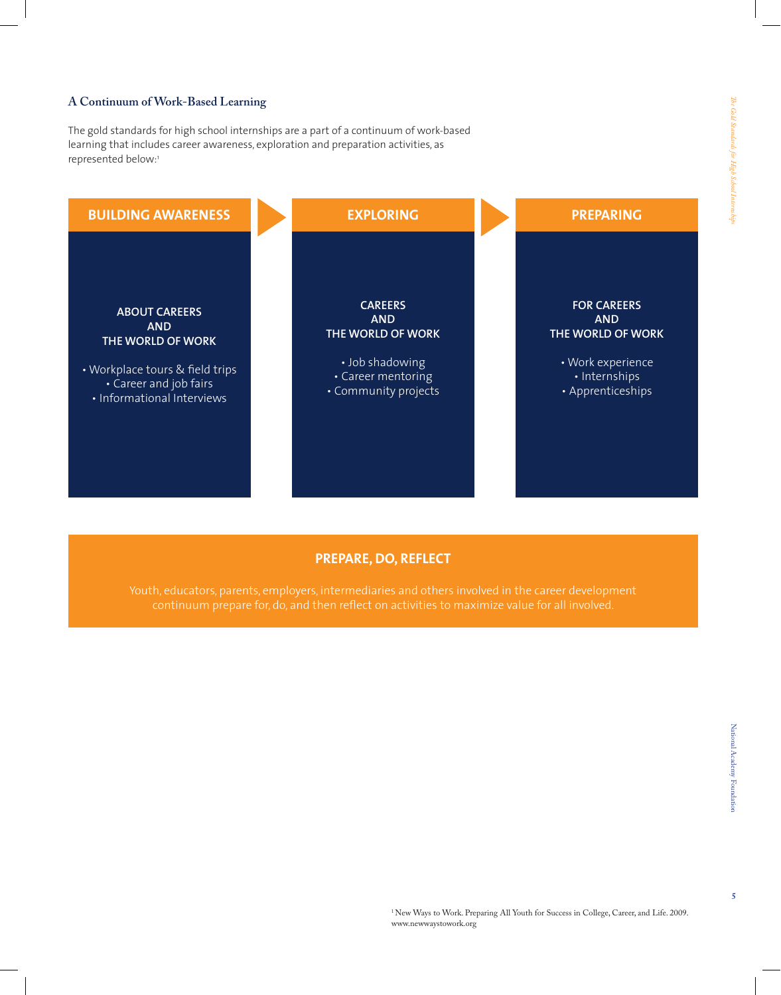# **A Continuum of Work-Based Learning**

The gold standards for high school internships are a part of a continuum of work-based learning that includes career awareness, exploration and preparation activities, as represented below:1



# **Prepare, Do, Reflect**

 $\overline{5}$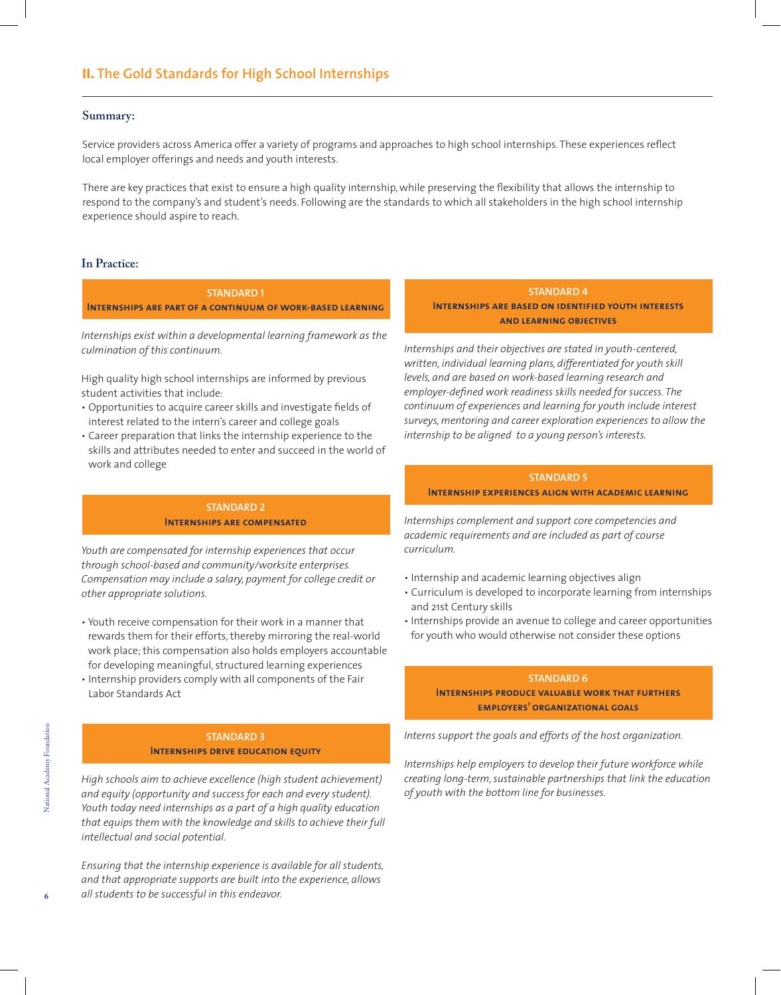#### **Summary:**

Service providers across America offer a variety of programs and approaches to high school internships. These experiences reflect local employer offerings and needs and youth interests.

There are key practices that exist to ensure a high quality internship, while preserving the flexibility that allows the internship to respond to the company's and student's needs. Following are the standards to which all stakeholders in the high school internship experience should aspire to reach.

#### **In Practice:**

**Standard 1 Internships are part of a continuum of work-based learning**

*Internships exist within a developmental learning framework as the culmination of this continuum.*

High quality high school internships are informed by previous student activities that include:

- Opportunities to acquire career skills and investigate fields of interest related to the intern's career and college goals
- Career preparation that links the internship experience to the skills and attributes needed to enter and succeed in the world of work and college

#### **Standard 2 Internships are compensated**

*Youth are compensated for internship experiences that occur through school-based and community/worksite enterprises. Compensation may include a salary, payment for college credit or other appropriate solutions.*

- Youth receive compensation for their work in a manner that rewards them for their efforts, thereby mirroring the real-world work place; this compensation also holds employers accountable for developing meaningful, structured learning experiences
- Internship providers comply with all components of the Fair Labor Standards Act

#### **Standard 3 Internships drive education equity**

*High schools aim to achieve excellence (high student achievement) and equity (opportunity and success for each and every student). Youth today need internships as a part of a high quality education that equips them with the knowledge and skills to achieve their full intellectual and social potential.*

*Ensuring that the internship experience is available for all students, and that appropriate supports are built into the experience, allows all students to be successful in this endeavor.* 

#### **Standard 4**

**INTERNSHIPS ARE BASED ON IDENTIFIED YOUTH INTERESTS and learning objectives**

*Internships and their objectives are stated in youth-centered, written, individual learning plans, differentiated for youth skill levels, and are based on work-based learning research and employer-defined work readiness skills needed for success. The continuum of experiences and learning for youth include interest surveys, mentoring and career exploration experiences to allow the internship to be aligned to a young person's interests.*

#### **Standard 5**

# **Internship experiences align with academic learning**

*Internships complement and support core competencies and academic requirements and are included as part of course curriculum.* 

- Internship and academic learning objectives align
- Curriculum is developed to incorporate learning from internships and 21st Century skills
- Internships provide an avenue to college and career opportunities for youth who would otherwise not consider these options

# **Standard 6 Internships produce valuable work that furthers employers' organizational goals**

*Interns support the goals and efforts of the host organization.* 

*Internships help employers to develop their future workforce while creating long-term, sustainable partnerships that link the education of youth with the bottom line for businesses.*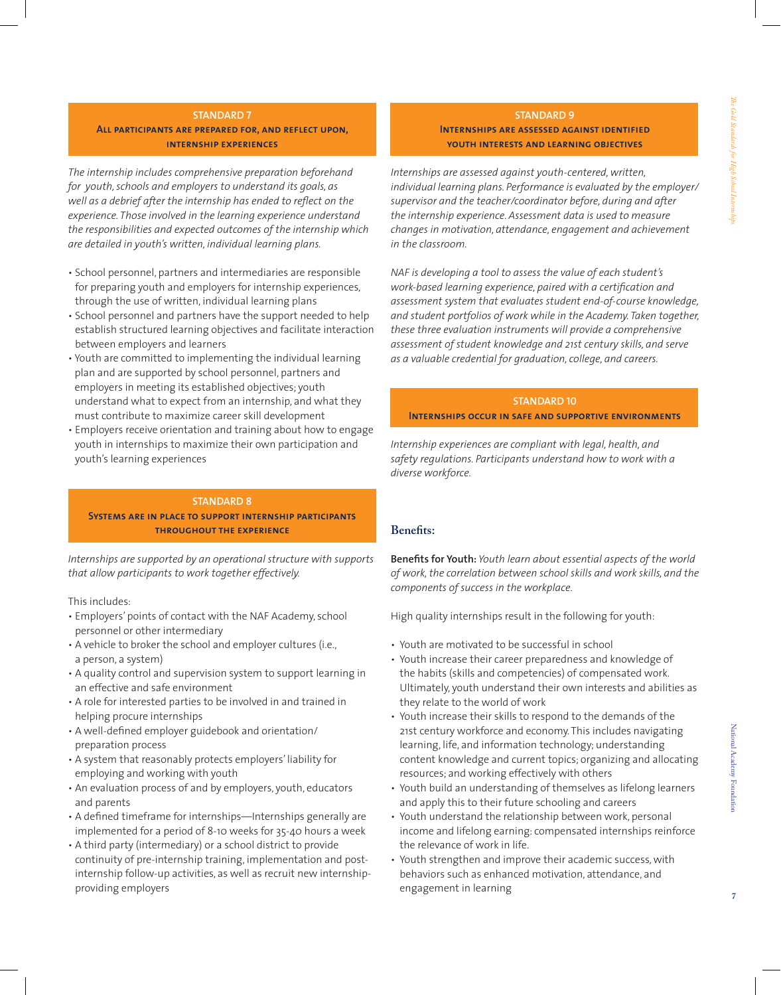#### **STANDARD 7**

ALL PARTICIPANTS ARE PREPARED FOR, AND REFLECT UPON, **internship experiences**

*The internship includes comprehensive preparation beforehand for youth, schools and employers to understand its goals, as well as a debrief after the internship has ended to reflect on the experience. Those involved in the learning experience understand the responsibilities and expected outcomes of the internship which are detailed in youth's written, individual learning plans.* 

- School personnel, partners and intermediaries are responsible for preparing youth and employers for internship experiences, through the use of written, individual learning plans
- School personnel and partners have the support needed to help establish structured learning objectives and facilitate interaction between employers and learners
- Youth are committed to implementing the individual learning plan and are supported by school personnel, partners and employers in meeting its established objectives; youth understand what to expect from an internship, and what they must contribute to maximize career skill development
- Employers receive orientation and training about how to engage youth in internships to maximize their own participation and youth's learning experiences

#### **Standard 8**

**Systems are in place to support internship participants throughout the experience**

*Internships are supported by an operational structure with supports that allow participants to work together effectively.* 

This includes:

- Employers' points of contact with the NAF Academy, school personnel or other intermediary
- A vehicle to broker the school and employer cultures (i.e., a person, a system)
- A quality control and supervision system to support learning in an effective and safe environment
- A role for interested parties to be involved in and trained in helping procure internships
- A well-defined employer guidebook and orientation/ preparation process
- A system that reasonably protects employers' liability for employing and working with youth
- An evaluation process of and by employers, youth, educators and parents
- A defined timeframe for internships—Internships generally are implemented for a period of 8-10 weeks for 35-40 hours a week
- A third party (intermediary) or a school district to provide continuity of pre-internship training, implementation and postinternship follow-up activities, as well as recruit new internshipproviding employers

#### **Standard 9**

# **INTERNSHIPS ARE ASSESSED AGAINST IDENTIFIED youth interests and learning objectives**

*Internships are assessed against youth-centered, written, individual learning plans. Performance is evaluated by the employer/ supervisor and the teacher/coordinator before, during and after the internship experience. Assessment data is used to measure changes in motivation, attendance, engagement and achievement in the classroom.*

*NAF is developing a tool to assess the value of each student's work-based learning experience, paired with a certification and assessment system that evaluates student end-of-course knowledge, and student portfolios of work while in the Academy. Taken together, these three evaluation instruments will provide a comprehensive assessment of student knowledge and 21st century skills, and serve as a valuable credential for graduation, college, and careers.*

#### **Standard 10**

**Internships occur in safe and supportive environments**

*Internship experiences are compliant with legal, health, and safety regulations. Participants understand how to work with a diverse workforce.* 

# **Benefits:**

**Benefits for Youth:** *Youth learn about essential aspects of the world of work, the correlation between school skills and work skills, and the components of success in the workplace.*

High quality internships result in the following for youth:

- Youth are motivated to be successful in school
- Youth increase their career preparedness and knowledge of the habits (skills and competencies) of compensated work. Ultimately, youth understand their own interests and abilities as they relate to the world of work
- Youth increase their skills to respond to the demands of the 21st century workforce and economy. This includes navigating learning, life, and information technology; understanding content knowledge and current topics; organizing and allocating resources; and working effectively with others
- Youth build an understanding of themselves as lifelong learners and apply this to their future schooling and careers
- Youth understand the relationship between work, personal income and lifelong earning: compensated internships reinforce the relevance of work in life.
- Youth strengthen and improve their academic success, with behaviors such as enhanced motivation, attendance, and engagement in learning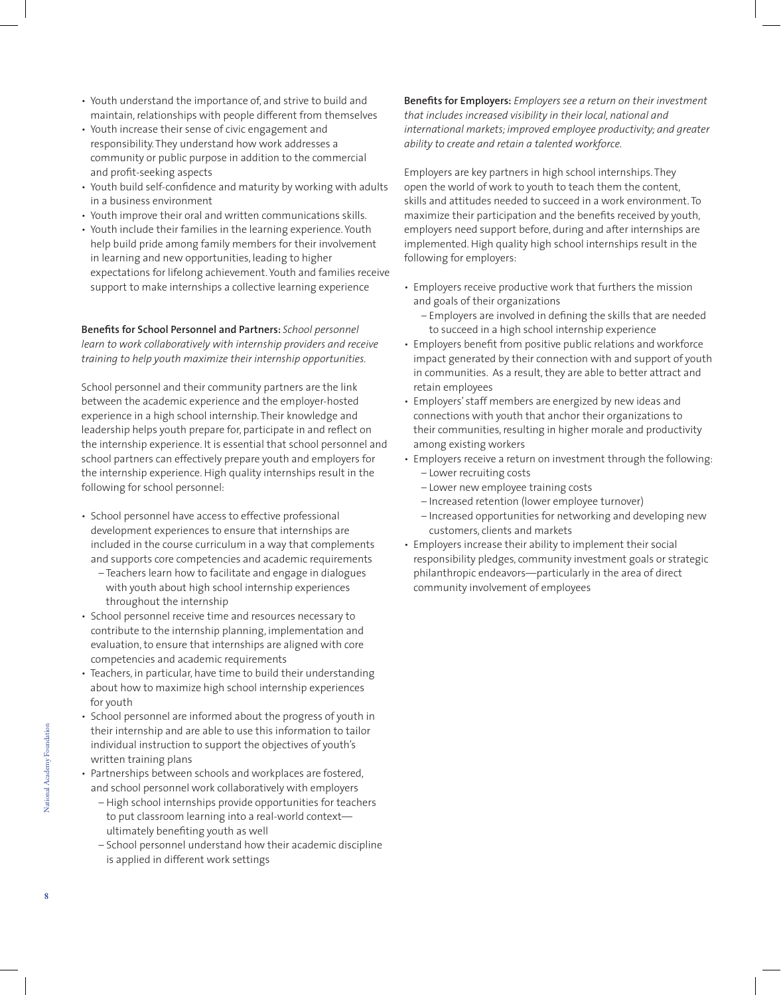- Youth understand the importance of, and strive to build and maintain, relationships with people different from themselves
- Youth increase their sense of civic engagement and responsibility. They understand how work addresses a community or public purpose in addition to the commercial and profit-seeking aspects
- Youth build self-confidence and maturity by working with adults in a business environment
- Youth improve their oral and written communications skills.
- Youth include their families in the learning experience. Youth help build pride among family members for their involvement in learning and new opportunities, leading to higher expectations for lifelong achievement. Youth and families receive support to make internships a collective learning experience

**Benefits for School Personnel and Partners:** *School personnel learn to work collaboratively with internship providers and receive training to help youth maximize their internship opportunities.*

School personnel and their community partners are the link between the academic experience and the employer-hosted experience in a high school internship. Their knowledge and leadership helps youth prepare for, participate in and reflect on the internship experience. It is essential that school personnel and school partners can effectively prepare youth and employers for the internship experience. High quality internships result in the following for school personnel:

- School personnel have access to effective professional development experiences to ensure that internships are included in the course curriculum in a way that complements and supports core competencies and academic requirements
	- Teachers learn how to facilitate and engage in dialogues with youth about high school internship experiences throughout the internship
- School personnel receive time and resources necessary to contribute to the internship planning, implementation and evaluation, to ensure that internships are aligned with core competencies and academic requirements
- Teachers, in particular, have time to build their understanding about how to maximize high school internship experiences for youth
- School personnel are informed about the progress of youth in their internship and are able to use this information to tailor individual instruction to support the objectives of youth's written training plans
- Partnerships between schools and workplaces are fostered, and school personnel work collaboratively with employers
	- High school internships provide opportunities for teachers to put classroom learning into a real-world context ultimately benefiting youth as well
	- School personnel understand how their academic discipline is applied in different work settings

**Benefits for Employers:** *Employers see a return on their investment that includes increased visibility in their local, national and international markets; improved employee productivity; and greater ability to create and retain a talented workforce.*

Employers are key partners in high school internships. They open the world of work to youth to teach them the content, skills and attitudes needed to succeed in a work environment. To maximize their participation and the benefits received by youth, employers need support before, during and after internships are implemented. High quality high school internships result in the following for employers:

- Employers receive productive work that furthers the mission and goals of their organizations
	- Employers are involved in defining the skills that are needed to succeed in a high school internship experience
- Employers benefit from positive public relations and workforce impact generated by their connection with and support of youth in communities. As a result, they are able to better attract and retain employees
- Employers' staff members are energized by new ideas and connections with youth that anchor their organizations to their communities, resulting in higher morale and productivity among existing workers
- Employers receive a return on investment through the following: – Lower recruiting costs
	- Lower new employee training costs
	- Increased retention (lower employee turnover)
	- Increased opportunities for networking and developing new customers, clients and markets
- Employers increase their ability to implement their social responsibility pledges, community investment goals or strategic philanthropic endeavors—particularly in the area of direct community involvement of employees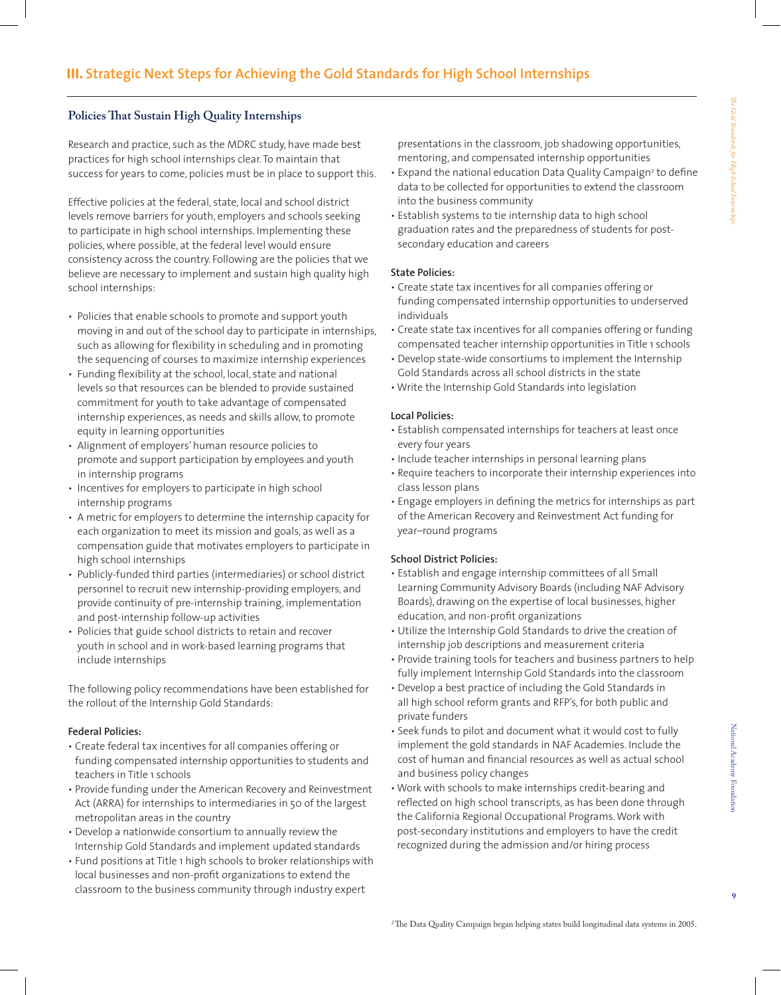# **Policies That Sustain High Quality Internships**

Research and practice, such as the MDRC study, have made best practices for high school internships clear. To maintain that success for years to come, policies must be in place to support this.

Effective policies at the federal, state, local and school district levels remove barriers for youth, employers and schools seeking to participate in high school internships. Implementing these policies, where possible, at the federal level would ensure consistency across the country. Following are the policies that we believe are necessary to implement and sustain high quality high school internships:

- Policies that enable schools to promote and support youth moving in and out of the school day to participate in internships, such as allowing for flexibility in scheduling and in promoting the sequencing of courses to maximize internship experiences
- Funding flexibility at the school, local, state and national levels so that resources can be blended to provide sustained commitment for youth to take advantage of compensated internship experiences, as needs and skills allow, to promote equity in learning opportunities
- Alignment of employers' human resource policies to promote and support participation by employees and youth in internship programs
- Incentives for employers to participate in high school internship programs
- A metric for employers to determine the internship capacity for each organization to meet its mission and goals, as well as a compensation guide that motivates employers to participate in high school internships
- Publicly-funded third parties (intermediaries) or school district personnel to recruit new internship-providing employers, and provide continuity of pre-internship training, implementation and post-internship follow-up activities
- Policies that guide school districts to retain and recover youth in school and in work-based learning programs that include internships

The following policy recommendations have been established for the rollout of the Internship Gold Standards:

#### **Federal Policies:**

- Create federal tax incentives for all companies offering or funding compensated internship opportunities to students and teachers in Title 1 schools
- Provide funding under the American Recovery and Reinvestment Act (ARRA) for internships to intermediaries in 50 of the largest metropolitan areas in the country
- Develop a nationwide consortium to annually review the Internship Gold Standards and implement updated standards
- Fund positions at Title 1 high schools to broker relationships with local businesses and non-profit organizations to extend the classroom to the business community through industry expert

presentations in the classroom, job shadowing opportunities, mentoring, and compensated internship opportunities

- Expand the national education Data Quality Campaign<sup>2</sup> to define data to be collected for opportunities to extend the classroom into the business community
- Establish systems to tie internship data to high school graduation rates and the preparedness of students for postsecondary education and careers

#### **State Policies:**

- Create state tax incentives for all companies offering or funding compensated internship opportunities to underserved individuals
- Create state tax incentives for all companies offering or funding compensated teacher internship opportunities in Title 1 schools
- Develop state-wide consortiums to implement the Internship Gold Standards across all school districts in the state
- Write the Internship Gold Standards into legislation

#### **Local Policies:**

- Establish compensated internships for teachers at least once every four years
- Include teacher internships in personal learning plans
- Require teachers to incorporate their internship experiences into class lesson plans
- Engage employers in defining the metrics for internships as part of the American Recovery and Reinvestment Act funding for year–round programs

#### **School District Policies:**

- Establish and engage internship committees of all Small Learning Community Advisory Boards (including NAF Advisory Boards), drawing on the expertise of local businesses, higher education, and non-profit organizations
- Utilize the Internship Gold Standards to drive the creation of internship job descriptions and measurement criteria
- Provide training tools for teachers and business partners to help fully implement Internship Gold Standards into the classroom
- Develop a best practice of including the Gold Standards in all high school reform grants and RFP's, for both public and private funders
- Seek funds to pilot and document what it would cost to fully implement the gold standards in NAF Academies. Include the cost of human and financial resources as well as actual school and business policy changes
- Work with schools to make internships credit-bearing and reflected on high school transcripts, as has been done through the California Regional Occupational Programs.Work with post-secondary institutions and employers to have the credit recognized during the admission and/or hiring process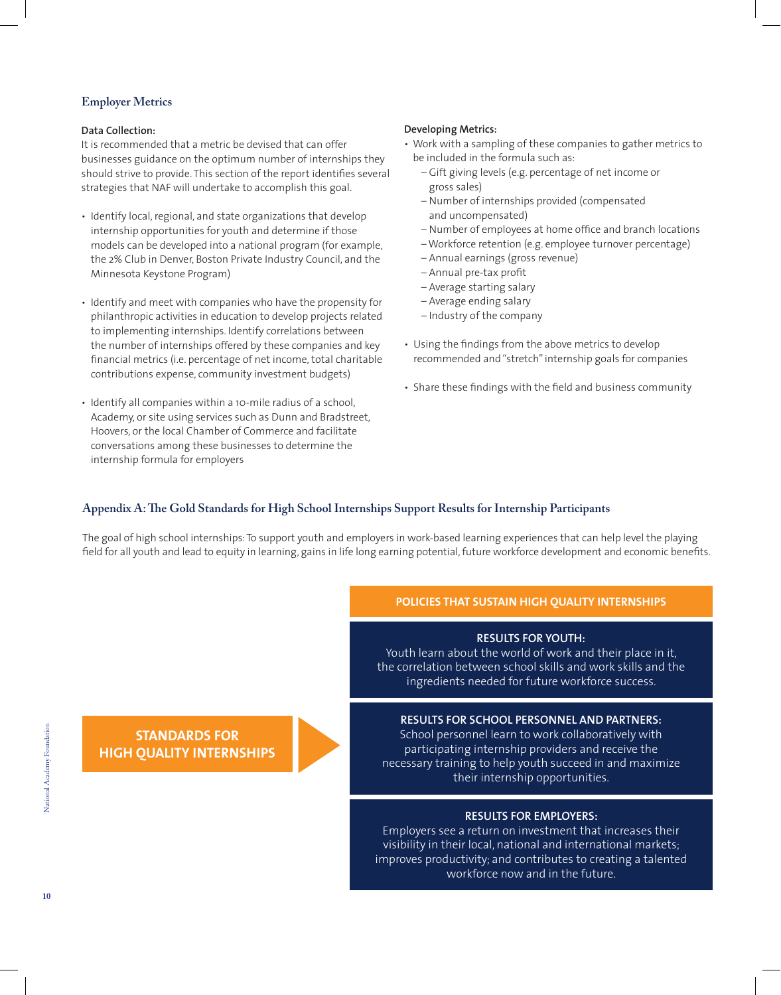# **Employer Metrics**

#### **Data Collection:**

It is recommended that a metric be devised that can offer businesses guidance on the optimum number of internships they should strive to provide. This section of the report identifies several strategies that NAF will undertake to accomplish this goal.

- Identify local, regional, and state organizations that develop internship opportunities for youth and determine if those models can be developed into a national program (for example, the 2% Club in Denver, Boston Private Industry Council, and the Minnesota Keystone Program)
- Identify and meet with companies who have the propensity for philanthropic activities in education to develop projects related to implementing internships. Identify correlations between the number of internships offered by these companies and key financial metrics (i.e. percentage of net income, total charitable contributions expense, community investment budgets)
- Identify all companies within a 10-mile radius of a school, Academy, or site using services such as Dunn and Bradstreet, Hoovers, or the local Chamber of Commerce and facilitate conversations among these businesses to determine the internship formula for employers

#### **Developing Metrics:**

- Work with a sampling of these companies to gather metrics to be included in the formula such as:
	- Gift giving levels (e.g. percentage of net income or gross sales)
	- Number of internships provided (compensated and uncompensated)
	- Number of employees at home office and branch locations
	- Workforce retention (e.g. employee turnover percentage)
	- Annual earnings (gross revenue)
	- Annual pre-tax profit
	- Average starting salary
	- Average ending salary
	- Industry of the company
- Using the findings from the above metrics to develop recommended and "stretch"internship goals for companies
- Share these findings with the field and business community

# **Appendix A: The Gold Standards for High School Internships Support Results for Internship Participants**

The goal of high school internships:To support youth and employers in work-based learning experiences that can help level the playing field for all youth and lead to equity in learning, gains in life long earning potential, future workforce development and economic benefits.

# **Policies that Sustain High Quality Internships**

# **Results for Youth:**

Youth learn about the world of work and their place in it, the correlation between school skills and work skills and the ingredients needed for future workforce success.

# **Results for School Personnel and Partners:**

School personnel learn to work collaboratively with participating internship providers and receive the necessary training to help youth succeed in and maximize their internship opportunities.

# **Results for Employers:**

Employers see a return on investment that increases their visibility in their local, national and international markets; improves productivity; and contributes to creating a talented workforce now and in the future.

**Standards for High Quality Internships**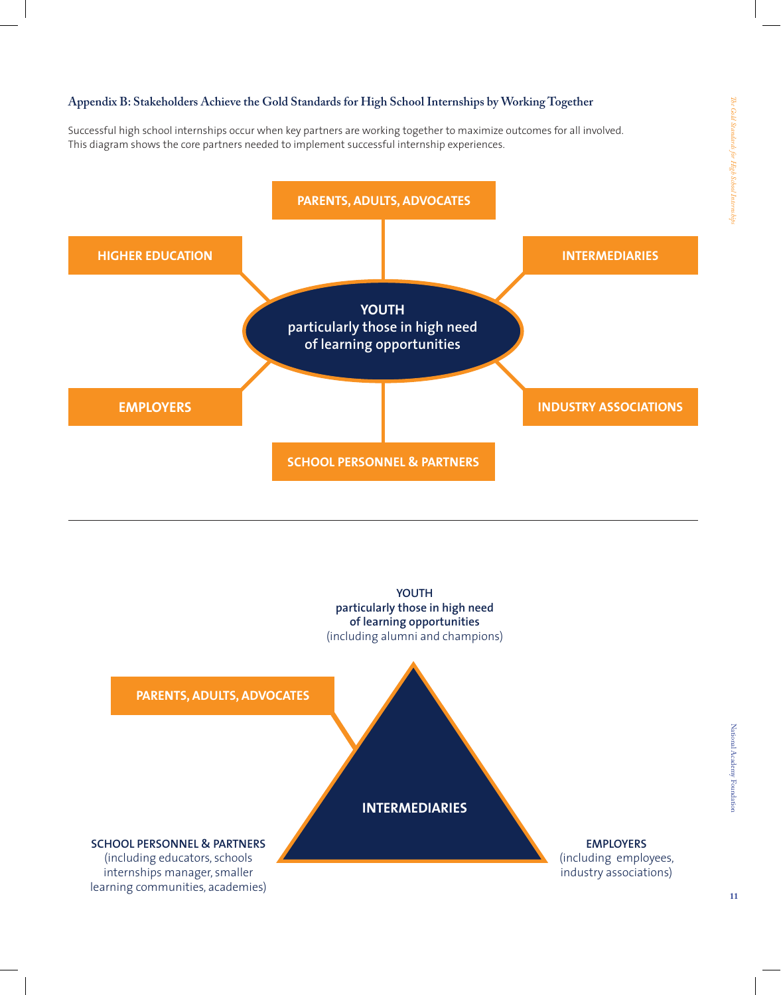# **Appendix B: Stakeholders Achieve the Gold Standards for High School Internships by Working Together**

Successful high school internships occur when key partners are working together to maximize outcomes for all involved. This diagram shows the core partners needed to implement successful internship experiences.